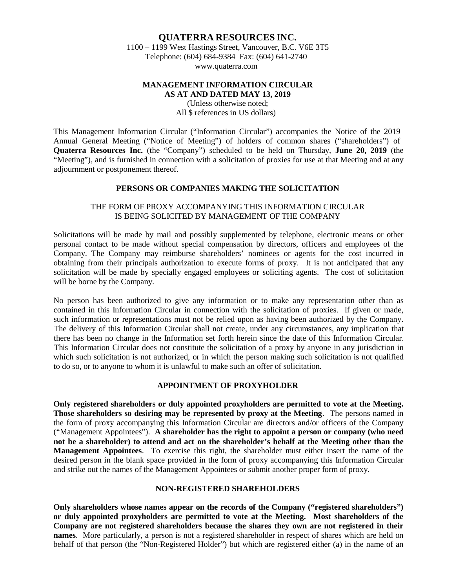# **QUATERRA RESOURCES INC.** 1100 – 1199 West Hastings Street, Vancouver, B.C. V6E 3T5 Telephone: (604) 684-9384 Fax: (604) 641-274[0](http://www.quaterra.com/) [www.quaterra.com](http://www.quaterra.com/)

### **MANAGEMENT INFORMATION CIRCULAR AS AT AND DATED MAY 13, 2019**

(Unless otherwise noted; All \$ references in US dollars)

This Management Information Circular ("Information Circular") accompanies the Notice of the 2019 Annual General Meeting ("Notice of Meeting") of holders of common shares ("shareholders") of **Quaterra Resources Inc.** (the "Company") scheduled to be held on Thursday, **June 20, 2019** (the "Meeting"), and is furnished in connection with a solicitation of proxies for use at that Meeting and at any adjournment or postponement thereof.

### **PERSONS OR COMPANIES MAKING THE SOLICITATION**

# THE FORM OF PROXY ACCOMPANYING THIS INFORMATION CIRCULAR IS BEING SOLICITED BY MANAGEMENT OF THE COMPANY

Solicitations will be made by mail and possibly supplemented by telephone, electronic means or other personal contact to be made without special compensation by directors, officers and employees of the Company. The Company may reimburse shareholders' nominees or agents for the cost incurred in obtaining from their principals authorization to execute forms of proxy. It is not anticipated that any solicitation will be made by specially engaged employees or soliciting agents. The cost of solicitation will be borne by the Company.

No person has been authorized to give any information or to make any representation other than as contained in this Information Circular in connection with the solicitation of proxies. If given or made, such information or representations must not be relied upon as having been authorized by the Company. The delivery of this Information Circular shall not create, under any circumstances, any implication that there has been no change in the Information set forth herein since the date of this Information Circular. This Information Circular does not constitute the solicitation of a proxy by anyone in any jurisdiction in which such solicitation is not authorized, or in which the person making such solicitation is not qualified to do so, or to anyone to whom it is unlawful to make such an offer of solicitation.

### **APPOINTMENT OF PROXYHOLDER**

**Only registered shareholders or duly appointed proxyholders are permitted to vote at the Meeting. Those shareholders so desiring may be represented by proxy at the Meeting**. The persons named in the form of proxy accompanying this Information Circular are directors and/or officers of the Company ("Management Appointees"). **A shareholder has the right to appoint a person or company (who need not be a shareholder) to attend and act on the shareholder's behalf at the Meeting other than the Management Appointees**. To exercise this right, the shareholder must either insert the name of the desired person in the blank space provided in the form of proxy accompanying this Information Circular and strike out the names of the Management Appointees or submit another proper form of proxy.

#### **NON-REGISTERED SHAREHOLDERS**

**Only shareholders whose names appear on the records of the Company ("registered shareholders") or duly appointed proxyholders are permitted to vote at the Meeting. Most shareholders of the Company are not registered shareholders because the shares they own are not registered in their names**. More particularly, a person is not a registered shareholder in respect of shares which are held on behalf of that person (the "Non-Registered Holder") but which are registered either (a) in the name of an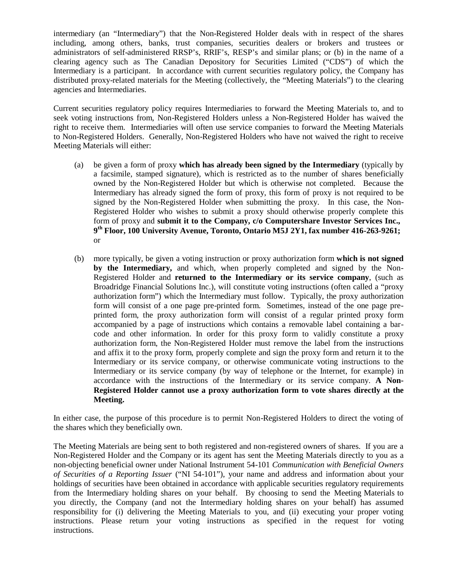intermediary (an "Intermediary") that the Non-Registered Holder deals with in respect of the shares including, among others, banks, trust companies, securities dealers or brokers and trustees or administrators of self-administered RRSP's, RRIF's, RESP's and similar plans; or (b) in the name of a clearing agency such as The Canadian Depository for Securities Limited ("CDS") of which the Intermediary is a participant. In accordance with current securities regulatory policy, the Company has distributed proxy-related materials for the Meeting (collectively, the "Meeting Materials") to the clearing agencies and Intermediaries.

Current securities regulatory policy requires Intermediaries to forward the Meeting Materials to, and to seek voting instructions from, Non-Registered Holders unless a Non-Registered Holder has waived the right to receive them. Intermediaries will often use service companies to forward the Meeting Materials to Non-Registered Holders. Generally, Non-Registered Holders who have not waived the right to receive Meeting Materials will either:

- (a) be given a form of proxy **which has already been signed by the Intermediary** (typically by a facsimile, stamped signature), which is restricted as to the number of shares beneficially owned by the Non-Registered Holder but which is otherwise not completed. Because the Intermediary has already signed the form of proxy, this form of proxy is not required to be signed by the Non-Registered Holder when submitting the proxy. In this case, the Non-Registered Holder who wishes to submit a proxy should otherwise properly complete this form of proxy and **submit it to the Company, c/o Computershare Investor Services Inc., 9th Floor, 100 University Avenue, Toronto, Ontario M5J 2Y1, fax number 416-263-9261;** or
- (b) more typically, be given a voting instruction or proxy authorization form **which is not signed by the Intermediary,** and which, when properly completed and signed by the Non-Registered Holder and **returned to the Intermediary or its service company**, (such as Broadridge Financial Solutions Inc.), will constitute voting instructions (often called a "proxy authorization form") which the Intermediary must follow. Typically, the proxy authorization form will consist of a one page pre-printed form. Sometimes, instead of the one page preprinted form, the proxy authorization form will consist of a regular printed proxy form accompanied by a page of instructions which contains a removable label containing a barcode and other information. In order for this proxy form to validly constitute a proxy authorization form, the Non-Registered Holder must remove the label from the instructions and affix it to the proxy form, properly complete and sign the proxy form and return it to the Intermediary or its service company, or otherwise communicate voting instructions to the Intermediary or its service company (by way of telephone or the Internet, for example) in accordance with the instructions of the Intermediary or its service company. **A Non-Registered Holder cannot use a proxy authorization form to vote shares directly at the Meeting.**

In either case, the purpose of this procedure is to permit Non-Registered Holders to direct the voting of the shares which they beneficially own.

The Meeting Materials are being sent to both registered and non-registered owners of shares. If you are a Non-Registered Holder and the Company or its agent has sent the Meeting Materials directly to you as a non-objecting beneficial owner under National Instrument 54-101 *Communication with Beneficial Owners of Securities of a Reporting Issuer* ("NI 54-101"), your name and address and information about your holdings of securities have been obtained in accordance with applicable securities regulatory requirements from the Intermediary holding shares on your behalf. By choosing to send the Meeting Materials to you directly, the Company (and not the Intermediary holding shares on your behalf) has assumed responsibility for (i) delivering the Meeting Materials to you, and (ii) executing your proper voting instructions. Please return your voting instructions as specified in the request for voting instructions.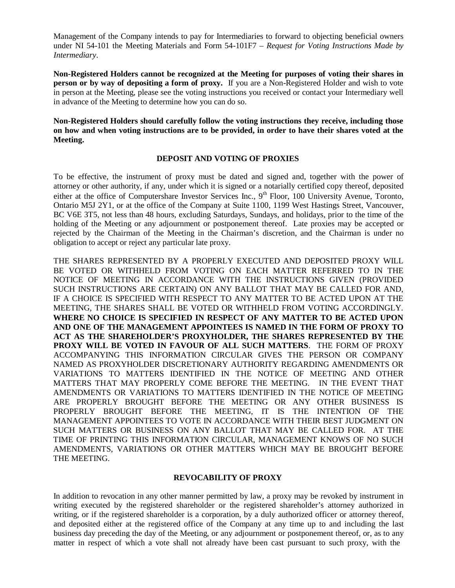Management of the Company intends to pay for Intermediaries to forward to objecting beneficial owners under NI 54-101 the Meeting Materials and Form 54-101F7 – *Request for Voting Instructions Made by Intermediary*.

**Non-Registered Holders cannot be recognized at the Meeting for purposes of voting their shares in person or by way of depositing a form of proxy.** If you are a Non-Registered Holder and wish to vote in person at the Meeting, please see the voting instructions you received or contact your Intermediary well in advance of the Meeting to determine how you can do so.

**Non-Registered Holders should carefully follow the voting instructions they receive, including those on how and when voting instructions are to be provided, in order to have their shares voted at the Meeting.**

### **DEPOSIT AND VOTING OF PROXIES**

To be effective, the instrument of proxy must be dated and signed and, together with the power of attorney or other authority, if any, under which it is signed or a notarially certified copy thereof, deposited either at the office of Computershare Investor Services Inc.,  $9<sup>th</sup>$  Floor, 100 University Avenue, Toronto, Ontario M5J 2Y1, or at the office of the Company at Suite 1100, 1199 West Hastings Street, Vancouver, BC V6E 3T5, not less than 48 hours, excluding Saturdays, Sundays, and holidays, prior to the time of the holding of the Meeting or any adjournment or postponement thereof. Late proxies may be accepted or rejected by the Chairman of the Meeting in the Chairman's discretion, and the Chairman is under no obligation to accept or reject any particular late proxy.

THE SHARES REPRESENTED BY A PROPERLY EXECUTED AND DEPOSITED PROXY WILL BE VOTED OR WITHHELD FROM VOTING ON EACH MATTER REFERRED TO IN THE NOTICE OF MEETING IN ACCORDANCE WITH THE INSTRUCTIONS GIVEN (PROVIDED SUCH INSTRUCTIONS ARE CERTAIN) ON ANY BALLOT THAT MAY BE CALLED FOR AND, IF A CHOICE IS SPECIFIED WITH RESPECT TO ANY MATTER TO BE ACTED UPON AT THE MEETING, THE SHARES SHALL BE VOTED OR WITHHELD FROM VOTING ACCORDINGLY. **WHERE NO CHOICE IS SPECIFIED IN RESPECT OF ANY MATTER TO BE ACTED UPON AND ONE OF THE MANAGEMENT APPOINTEES IS NAMED IN THE FORM OF PROXY TO ACT AS THE SHAREHOLDER'S PROXYHOLDER, THE SHARES REPRESENTED BY THE PROXY WILL BE VOTED IN FAVOUR OF ALL SUCH MATTERS**. THE FORM OF PROXY ACCOMPANYING THIS INFORMATION CIRCULAR GIVES THE PERSON OR COMPANY NAMED AS PROXYHOLDER DISCRETIONARY AUTHORITY REGARDING AMENDMENTS OR VARIATIONS TO MATTERS IDENTIFIED IN THE NOTICE OF MEETING AND OTHER MATTERS THAT MAY PROPERLY COME BEFORE THE MEETING. IN THE EVENT THAT AMENDMENTS OR VARIATIONS TO MATTERS IDENTIFIED IN THE NOTICE OF MEETING ARE PROPERLY BROUGHT BEFORE THE MEETING OR ANY OTHER BUSINESS IS PROPERLY BROUGHT BEFORE THE MEETING, IT IS THE INTENTION OF THE MANAGEMENT APPOINTEES TO VOTE IN ACCORDANCE WITH THEIR BEST JUDGMENT ON SUCH MATTERS OR BUSINESS ON ANY BALLOT THAT MAY BE CALLED FOR. AT THE TIME OF PRINTING THIS INFORMATION CIRCULAR, MANAGEMENT KNOWS OF NO SUCH AMENDMENTS, VARIATIONS OR OTHER MATTERS WHICH MAY BE BROUGHT BEFORE THE MEETING.

# **REVOCABILITY OF PROXY**

In addition to revocation in any other manner permitted by law, a proxy may be revoked by instrument in writing executed by the registered shareholder or the registered shareholder's attorney authorized in writing, or if the registered shareholder is a corporation, by a duly authorized officer or attorney thereof, and deposited either at the registered office of the Company at any time up to and including the last business day preceding the day of the Meeting, or any adjournment or postponement thereof, or, as to any matter in respect of which a vote shall not already have been cast pursuant to such proxy, with the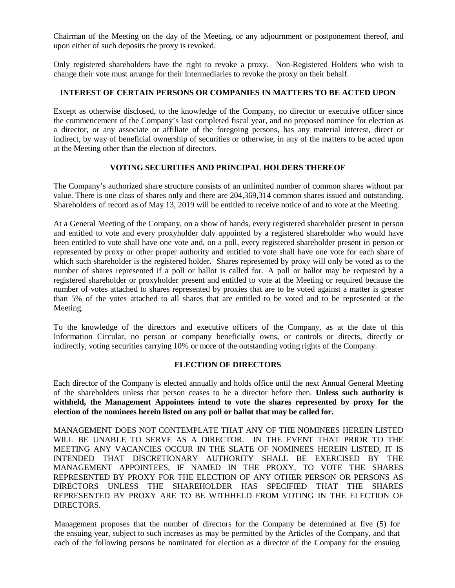Chairman of the Meeting on the day of the Meeting, or any adjournment or postponement thereof, and upon either of such deposits the proxy is revoked.

Only registered shareholders have the right to revoke a proxy. Non-Registered Holders who wish to change their vote must arrange for their Intermediaries to revoke the proxy on their behalf.

### **INTEREST OF CERTAIN PERSONS OR COMPANIES IN MATTERS TO BE ACTED UPON**

Except as otherwise disclosed, to the knowledge of the Company, no director or executive officer since the commencement of the Company's last completed fiscal year, and no proposed nominee for election as a director, or any associate or affiliate of the foregoing persons, has any material interest, direct or indirect, by way of beneficial ownership of securities or otherwise, in any of the matters to be acted upon at the Meeting other than the election of directors.

# **VOTING SECURITIES AND PRINCIPAL HOLDERS THEREOF**

The Company's authorized share structure consists of an unlimited number of common shares without par value. There is one class of shares only and there are 204,369,314 common shares issued and outstanding. Shareholders of record as of May 13, 2019 will be entitled to receive notice of and to vote at the Meeting.

At a General Meeting of the Company, on a show of hands, every registered shareholder present in person and entitled to vote and every proxyholder duly appointed by a registered shareholder who would have been entitled to vote shall have one vote and, on a poll, every registered shareholder present in person or represented by proxy or other proper authority and entitled to vote shall have one vote for each share of which such shareholder is the registered holder. Shares represented by proxy will only be voted as to the number of shares represented if a poll or ballot is called for. A poll or ballot may be requested by a registered shareholder or proxyholder present and entitled to vote at the Meeting or required because the number of votes attached to shares represented by proxies that are to be voted against a matter is greater than 5% of the votes attached to all shares that are entitled to be voted and to be represented at the Meeting.

To the knowledge of the directors and executive officers of the Company, as at the date of this Information Circular, no person or company beneficially owns, or controls or directs, directly or indirectly, voting securities carrying 10% or more of the outstanding voting rights of the Company.

#### **ELECTION OF DIRECTORS**

Each director of the Company is elected annually and holds office until the next Annual General Meeting of the shareholders unless that person ceases to be a director before then. **Unless such authority is withheld, the Management Appointees intend to vote the shares represented by proxy for the election of the nominees herein listed on any poll or ballot that may be called for.**

MANAGEMENT DOES NOT CONTEMPLATE THAT ANY OF THE NOMINEES HEREIN LISTED WILL BE UNABLE TO SERVE AS A DIRECTOR. IN THE EVENT THAT PRIOR TO THE MEETING ANY VACANCIES OCCUR IN THE SLATE OF NOMINEES HEREIN LISTED, IT IS INTENDED THAT DISCRETIONARY AUTHORITY SHALL BE EXERCISED BY THE MANAGEMENT APPOINTEES, IF NAMED IN THE PROXY, TO VOTE THE SHARES REPRESENTED BY PROXY FOR THE ELECTION OF ANY OTHER PERSON OR PERSONS AS DIRECTORS UNLESS THE SHAREHOLDER HAS SPECIFIED THAT THE SHARES REPRESENTED BY PROXY ARE TO BE WITHHELD FROM VOTING IN THE ELECTION OF DIRECTORS.

Management proposes that the number of directors for the Company be determined at five (5) for the ensuing year, subject to such increases as may be permitted by the Articles of the Company, and that each of the following persons be nominated for election as a director of the Company for the ensuing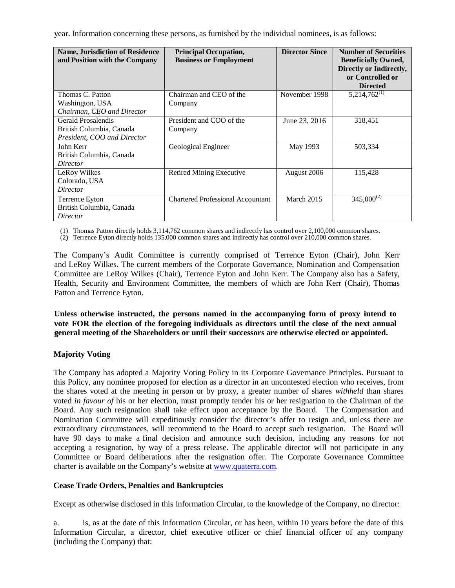year. Information concerning these persons, as furnished by the individual nominees, is as follows:

| <b>Name, Jurisdiction of Residence</b><br>and Position with the Company | <b>Principal Occupation,</b><br><b>Business or Employment</b> | <b>Director Since</b> | <b>Number of Securities</b><br><b>Beneficially Owned,</b><br>Directly or Indirectly,<br>or Controlled or<br><b>Directed</b> |
|-------------------------------------------------------------------------|---------------------------------------------------------------|-----------------------|-----------------------------------------------------------------------------------------------------------------------------|
| Thomas C. Patton                                                        | Chairman and CEO of the                                       | November 1998         | $5,214,762^{(1)}$                                                                                                           |
| Washington, USA                                                         | Company                                                       |                       |                                                                                                                             |
| Chairman, CEO and Director                                              |                                                               |                       |                                                                                                                             |
| Gerald Prosalendis                                                      | President and COO of the                                      | June 23, 2016         | 318,451                                                                                                                     |
| British Columbia, Canada                                                | Company                                                       |                       |                                                                                                                             |
| President, COO and Director                                             |                                                               |                       |                                                                                                                             |
| John Kerr                                                               | Geological Engineer                                           | May 1993              | 503,334                                                                                                                     |
| British Columbia, Canada                                                |                                                               |                       |                                                                                                                             |
| Director                                                                |                                                               |                       |                                                                                                                             |
| LeRoy Wilkes                                                            | <b>Retired Mining Executive</b>                               | August 2006           | 115,428                                                                                                                     |
| Colorado, USA                                                           |                                                               |                       |                                                                                                                             |
| Director                                                                |                                                               |                       |                                                                                                                             |
| Terrence Eyton                                                          | <b>Chartered Professional Accountant</b>                      | March 2015            | $345,000^{(2)}$                                                                                                             |
| British Columbia, Canada                                                |                                                               |                       |                                                                                                                             |
| Director                                                                |                                                               |                       |                                                                                                                             |

(1) Thomas Patton directly holds 3,114,762 common shares and indirectly has control over 2,100,000 common shares.

(2) Terrence Eyton directly holds 135,000 common shares and indirectly has control over 210,000 common shares.

The Company's Audit Committee is currently comprised of Terrence Eyton (Chair), John Kerr and LeRoy Wilkes. The current members of the Corporate Governance, Nomination and Compensation Committee are LeRoy Wilkes (Chair), Terrence Eyton and John Kerr. The Company also has a Safety, Health, Security and Environment Committee, the members of which are John Kerr (Chair), Thomas Patton and Terrence Eyton.

**Unless otherwise instructed, the persons named in the accompanying form of proxy intend to vote FOR the election of the foregoing individuals as directors until the close of the next annual general meeting of the Shareholders or until their successors are otherwise elected or appointed.**

# **Majority Voting**

The Company has adopted a Majority Voting Policy in its Corporate Governance Principles. Pursuant to this Policy, any nominee proposed for election as a director in an uncontested election who receives, from the shares voted at the meeting in person or by proxy, a greater number of shares *withheld* than shares voted *in favour of* his or her election, must promptly tender his or her resignation to the Chairman of the Board. Any such resignation shall take effect upon acceptance by the Board. The Compensation and Nomination Committee will expeditiously consider the director's offer to resign and, unless there are extraordinary circumstances, will recommend to the Board to accept such resignation. The Board will have 90 days to make a final decision and announce such decision, including any reasons for not accepting a resignation, by way of a press release. The applicable director will not participate in any Committee or Board deliberations after the resignation offer. The Corporate Governance Committee charter is available on the Company's website a[t www.quaterra.com.](http://www.quaterra.com/)

# **Cease Trade Orders, Penalties and Bankruptcies**

Except as otherwise disclosed in this Information Circular, to the knowledge of the Company, no director:

a. is, as at the date of this Information Circular, or has been, within 10 years before the date of this Information Circular, a director, chief executive officer or chief financial officer of any company (including the Company) that: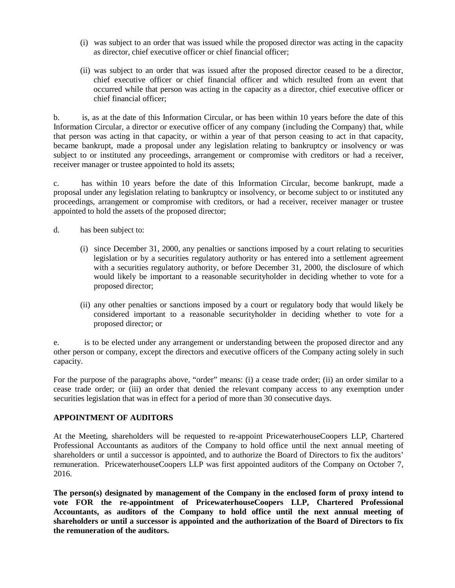- (i) was subject to an order that was issued while the proposed director was acting in the capacity as director, chief executive officer or chief financial officer;
- (ii) was subject to an order that was issued after the proposed director ceased to be a director, chief executive officer or chief financial officer and which resulted from an event that occurred while that person was acting in the capacity as a director, chief executive officer or chief financial officer;

b. is, as at the date of this Information Circular, or has been within 10 years before the date of this Information Circular, a director or executive officer of any company (including the Company) that, while that person was acting in that capacity, or within a year of that person ceasing to act in that capacity, became bankrupt, made a proposal under any legislation relating to bankruptcy or insolvency or was subject to or instituted any proceedings, arrangement or compromise with creditors or had a receiver, receiver manager or trustee appointed to hold its assets;

c. has within 10 years before the date of this Information Circular, become bankrupt, made a proposal under any legislation relating to bankruptcy or insolvency, or become subject to or instituted any proceedings, arrangement or compromise with creditors, or had a receiver, receiver manager or trustee appointed to hold the assets of the proposed director;

- d. has been subject to:
	- (i) since December 31, 2000, any penalties or sanctions imposed by a court relating to securities legislation or by a securities regulatory authority or has entered into a settlement agreement with a securities regulatory authority, or before December 31, 2000, the disclosure of which would likely be important to a reasonable securityholder in deciding whether to vote for a proposed director;
	- (ii) any other penalties or sanctions imposed by a court or regulatory body that would likely be considered important to a reasonable securityholder in deciding whether to vote for a proposed director; or

e. is to be elected under any arrangement or understanding between the proposed director and any other person or company, except the directors and executive officers of the Company acting solely in such capacity.

For the purpose of the paragraphs above, "order" means: (i) a cease trade order; (ii) an order similar to a cease trade order; or (iii) an order that denied the relevant company access to any exemption under securities legislation that was in effect for a period of more than 30 consecutive days.

# **APPOINTMENT OF AUDITORS**

At the Meeting, shareholders will be requested to re-appoint PricewaterhouseCoopers LLP, Chartered Professional Accountants as auditors of the Company to hold office until the next annual meeting of shareholders or until a successor is appointed, and to authorize the Board of Directors to fix the auditors' remuneration. PricewaterhouseCoopers LLP was first appointed auditors of the Company on October 7, 2016.

**The person(s) designated by management of the Company in the enclosed form of proxy intend to vote FOR the re-appointment of PricewaterhouseCoopers LLP, Chartered Professional Accountants, as auditors of the Company to hold office until the next annual meeting of shareholders or until a successor is appointed and the authorization of the Board of Directors to fix the remuneration of the auditors.**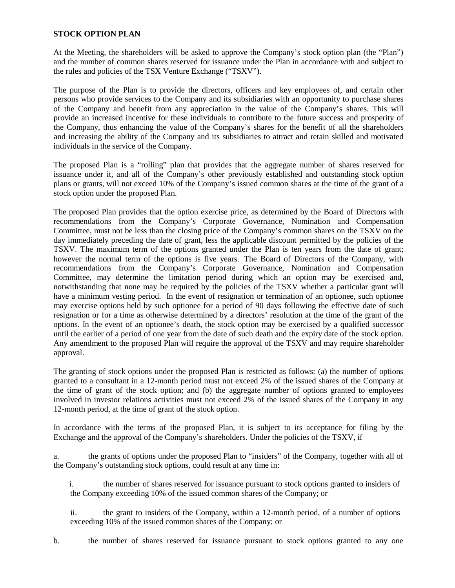### **STOCK OPTION PLAN**

At the Meeting, the shareholders will be asked to approve the Company's stock option plan (the "Plan") and the number of common shares reserved for issuance under the Plan in accordance with and subject to the rules and policies of the TSX Venture Exchange ("TSXV").

The purpose of the Plan is to provide the directors, officers and key employees of, and certain other persons who provide services to the Company and its subsidiaries with an opportunity to purchase shares of the Company and benefit from any appreciation in the value of the Company's shares. This will provide an increased incentive for these individuals to contribute to the future success and prosperity of the Company, thus enhancing the value of the Company's shares for the benefit of all the shareholders and increasing the ability of the Company and its subsidiaries to attract and retain skilled and motivated individuals in the service of the Company.

The proposed Plan is a "rolling" plan that provides that the aggregate number of shares reserved for issuance under it, and all of the Company's other previously established and outstanding stock option plans or grants, will not exceed 10% of the Company's issued common shares at the time of the grant of a stock option under the proposed Plan.

The proposed Plan provides that the option exercise price, as determined by the Board of Directors with recommendations from the Company's Corporate Governance, Nomination and Compensation Committee, must not be less than the closing price of the Company's common shares on the TSXV on the day immediately preceding the date of grant, less the applicable discount permitted by the policies of the TSXV. The maximum term of the options granted under the Plan is ten years from the date of grant; however the normal term of the options is five years. The Board of Directors of the Company, with recommendations from the Company's Corporate Governance, Nomination and Compensation Committee, may determine the limitation period during which an option may be exercised and, notwithstanding that none may be required by the policies of the TSXV whether a particular grant will have a minimum vesting period. In the event of resignation or termination of an optionee, such optionee may exercise options held by such optionee for a period of 90 days following the effective date of such resignation or for a time as otherwise determined by a directors' resolution at the time of the grant of the options. In the event of an optionee's death, the stock option may be exercised by a qualified successor until the earlier of a period of one year from the date of such death and the expiry date of the stock option. Any amendment to the proposed Plan will require the approval of the TSXV and may require shareholder approval.

The granting of stock options under the proposed Plan is restricted as follows: (a) the number of options granted to a consultant in a 12-month period must not exceed 2% of the issued shares of the Company at the time of grant of the stock option; and (b) the aggregate number of options granted to employees involved in investor relations activities must not exceed 2% of the issued shares of the Company in any 12-month period, at the time of grant of the stock option.

In accordance with the terms of the proposed Plan, it is subject to its acceptance for filing by the Exchange and the approval of the Company's shareholders. Under the policies of the TSXV, if

a. the grants of options under the proposed Plan to "insiders" of the Company, together with all of the Company's outstanding stock options, could result at any time in:

- i. the number of shares reserved for issuance pursuant to stock options granted to insiders of the Company exceeding 10% of the issued common shares of the Company; or
- ii. the grant to insiders of the Company, within a 12-month period, of a number of options exceeding 10% of the issued common shares of the Company; or
- b. the number of shares reserved for issuance pursuant to stock options granted to any one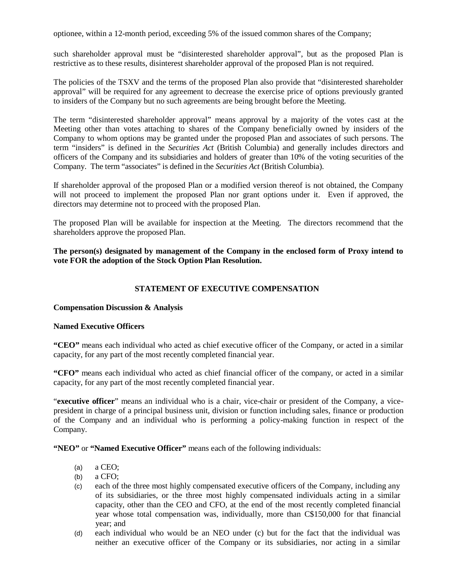optionee, within a 12-month period, exceeding 5% of the issued common shares of the Company;

such shareholder approval must be "disinterested shareholder approval", but as the proposed Plan is restrictive as to these results, disinterest shareholder approval of the proposed Plan is not required.

The policies of the TSXV and the terms of the proposed Plan also provide that "disinterested shareholder approval" will be required for any agreement to decrease the exercise price of options previously granted to insiders of the Company but no such agreements are being brought before the Meeting.

The term "disinterested shareholder approval" means approval by a majority of the votes cast at the Meeting other than votes attaching to shares of the Company beneficially owned by insiders of the Company to whom options may be granted under the proposed Plan and associates of such persons. The term "insiders" is defined in the *Securities Act* (British Columbia) and generally includes directors and officers of the Company and its subsidiaries and holders of greater than 10% of the voting securities of the Company. The term "associates" is defined in the *Securities Act* (British Columbia).

If shareholder approval of the proposed Plan or a modified version thereof is not obtained, the Company will not proceed to implement the proposed Plan nor grant options under it. Even if approved, the directors may determine not to proceed with the proposed Plan.

The proposed Plan will be available for inspection at the Meeting. The directors recommend that the shareholders approve the proposed Plan.

**The person(s) designated by management of the Company in the enclosed form of Proxy intend to vote FOR the adoption of the Stock Option Plan Resolution.**

# **STATEMENT OF EXECUTIVE COMPENSATION**

#### **Compensation Discussion & Analysis**

#### **Named Executive Officers**

**"CEO"** means each individual who acted as chief executive officer of the Company, or acted in a similar capacity, for any part of the most recently completed financial year.

**"CFO"** means each individual who acted as chief financial officer of the company, or acted in a similar capacity, for any part of the most recently completed financial year.

"**executive officer**" means an individual who is a chair, vice-chair or president of the Company, a vicepresident in charge of a principal business unit, division or function including sales, finance or production of the Company and an individual who is performing a policy-making function in respect of the Company.

**"NEO"** or **"Named Executive Officer"** means each of the following individuals:

- (a) a CEO;
- $(b)$  a CFO;
- (c) each of the three most highly compensated executive officers of the Company, including any of its subsidiaries, or the three most highly compensated individuals acting in a similar capacity, other than the CEO and CFO, at the end of the most recently completed financial year whose total compensation was, individually, more than C\$150,000 for that financial year; and
- (d) each individual who would be an NEO under (c) but for the fact that the individual was neither an executive officer of the Company or its subsidiaries, nor acting in a similar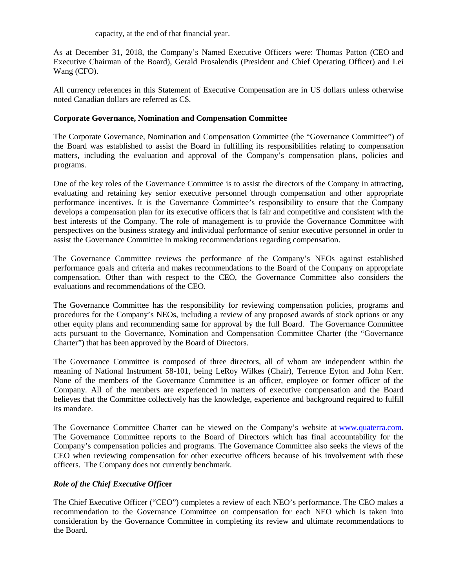capacity, at the end of that financial year.

As at December 31, 2018, the Company's Named Executive Officers were: Thomas Patton (CEO and Executive Chairman of the Board), Gerald Prosalendis (President and Chief Operating Officer) and Lei Wang (CFO).

All currency references in this Statement of Executive Compensation are in US dollars unless otherwise noted Canadian dollars are referred as C\$.

### **Corporate Governance, Nomination and Compensation Committee**

The Corporate Governance, Nomination and Compensation Committee (the "Governance Committee") of the Board was established to assist the Board in fulfilling its responsibilities relating to compensation matters, including the evaluation and approval of the Company's compensation plans, policies and programs.

One of the key roles of the Governance Committee is to assist the directors of the Company in attracting, evaluating and retaining key senior executive personnel through compensation and other appropriate performance incentives. It is the Governance Committee's responsibility to ensure that the Company develops a compensation plan for its executive officers that is fair and competitive and consistent with the best interests of the Company. The role of management is to provide the Governance Committee with perspectives on the business strategy and individual performance of senior executive personnel in order to assist the Governance Committee in making recommendations regarding compensation.

The Governance Committee reviews the performance of the Company's NEOs against established performance goals and criteria and makes recommendations to the Board of the Company on appropriate compensation. Other than with respect to the CEO, the Governance Committee also considers the evaluations and recommendations of the CEO.

The Governance Committee has the responsibility for reviewing compensation policies, programs and procedures for the Company's NEOs, including a review of any proposed awards of stock options or any other equity plans and recommending same for approval by the full Board. The Governance Committee acts pursuant to the Governance, Nomination and Compensation Committee Charter (the "Governance Charter") that has been approved by the Board of Directors.

The Governance Committee is composed of three directors, all of whom are independent within the meaning of National Instrument 58-101, being LeRoy Wilkes (Chair), Terrence Eyton and John Kerr. None of the members of the Governance Committee is an officer, employee or former officer of the Company. All of the members are experienced in matters of executive compensation and the Board believes that the Committee collectively has the knowledge, experience and background required to fulfill its mandate.

The Governance Committee Charter can be viewed on the Company's website at [www.quaterra.com.](http://www.quaterra.com/) The Governance Committee reports to the Board of Directors which has final accountability for the Company's compensation policies and programs. The Governance Committee also seeks the views of the CEO when reviewing compensation for other executive officers because of his involvement with these officers. The Company does not currently benchmark.

# *Role of the Chief Executive Offi***cer**

The Chief Executive Officer ("CEO") completes a review of each NEO's performance. The CEO makes a recommendation to the Governance Committee on compensation for each NEO which is taken into consideration by the Governance Committee in completing its review and ultimate recommendations to the Board.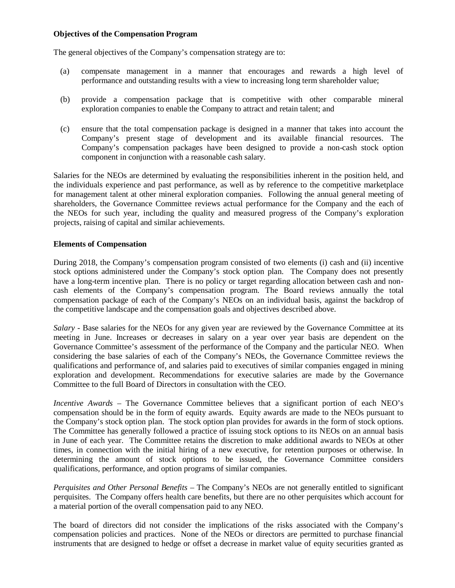### **Objectives of the Compensation Program**

The general objectives of the Company's compensation strategy are to:

- (a) compensate management in a manner that encourages and rewards a high level of performance and outstanding results with a view to increasing long term shareholder value;
- (b) provide a compensation package that is competitive with other comparable mineral exploration companies to enable the Company to attract and retain talent; and
- (c) ensure that the total compensation package is designed in a manner that takes into account the Company's present stage of development and its available financial resources. The Company's compensation packages have been designed to provide a non-cash stock option component in conjunction with a reasonable cash salary.

Salaries for the NEOs are determined by evaluating the responsibilities inherent in the position held, and the individuals experience and past performance, as well as by reference to the competitive marketplace for management talent at other mineral exploration companies. Following the annual general meeting of shareholders, the Governance Committee reviews actual performance for the Company and the each of the NEOs for such year, including the quality and measured progress of the Company's exploration projects, raising of capital and similar achievements.

### **Elements of Compensation**

During 2018, the Company's compensation program consisted of two elements (i) cash and (ii) incentive stock options administered under the Company's stock option plan. The Company does not presently have a long-term incentive plan. There is no policy or target regarding allocation between cash and noncash elements of the Company's compensation program. The Board reviews annually the total compensation package of each of the Company's NEOs on an individual basis, against the backdrop of the competitive landscape and the compensation goals and objectives described above.

*Salary -* Base salaries for the NEOs for any given year are reviewed by the Governance Committee at its meeting in June. Increases or decreases in salary on a year over year basis are dependent on the Governance Committee's assessment of the performance of the Company and the particular NEO. When considering the base salaries of each of the Company's NEOs, the Governance Committee reviews the qualifications and performance of, and salaries paid to executives of similar companies engaged in mining exploration and development. Recommendations for executive salaries are made by the Governance Committee to the full Board of Directors in consultation with the CEO.

*Incentive Awards* – The Governance Committee believes that a significant portion of each NEO's compensation should be in the form of equity awards. Equity awards are made to the NEOs pursuant to the Company's stock option plan. The stock option plan provides for awards in the form of stock options. The Committee has generally followed a practice of issuing stock options to its NEOs on an annual basis in June of each year. The Committee retains the discretion to make additional awards to NEOs at other times, in connection with the initial hiring of a new executive, for retention purposes or otherwise. In determining the amount of stock options to be issued, the Governance Committee considers qualifications, performance, and option programs of similar companies.

*Perquisites and Other Personal Benefits –* The Company's NEOs are not generally entitled to significant perquisites. The Company offers health care benefits, but there are no other perquisites which account for a material portion of the overall compensation paid to any NEO.

The board of directors did not consider the implications of the risks associated with the Company's compensation policies and practices. None of the NEOs or directors are permitted to purchase financial instruments that are designed to hedge or offset a decrease in market value of equity securities granted as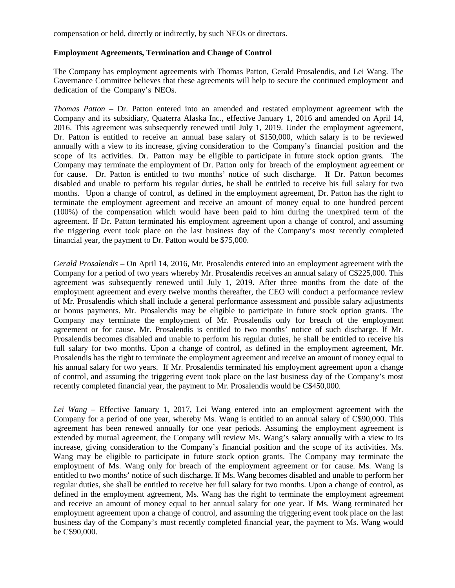compensation or held, directly or indirectly, by such NEOs or directors.

### **Employment Agreements, Termination and Change of Control**

The Company has employment agreements with Thomas Patton, Gerald Prosalendis, and Lei Wang. The Governance Committee believes that these agreements will help to secure the continued employment and dedication of the Company's NEOs.

*Thomas Patton* – Dr. Patton entered into an amended and restated employment agreement with the Company and its subsidiary, Quaterra Alaska Inc., effective January 1, 2016 and amended on April 14, 2016. This agreement was subsequently renewed until July 1, 2019. Under the employment agreement, Dr. Patton is entitled to receive an annual base salary of \$150,000, which salary is to be reviewed annually with a view to its increase, giving consideration to the Company's financial position and the scope of its activities. Dr. Patton may be eligible to participate in future stock option grants. The Company may terminate the employment of Dr. Patton only for breach of the employment agreement or for cause. Dr. Patton is entitled to two months' notice of such discharge. If Dr. Patton becomes disabled and unable to perform his regular duties, he shall be entitled to receive his full salary for two months. Upon a change of control, as defined in the employment agreement, Dr. Patton has the right to terminate the employment agreement and receive an amount of money equal to one hundred percent (100%) of the compensation which would have been paid to him during the unexpired term of the agreement. If Dr. Patton terminated his employment agreement upon a change of control, and assuming the triggering event took place on the last business day of the Company's most recently completed financial year, the payment to Dr. Patton would be \$75,000.

*Gerald Prosalendis* – On April 14, 2016, Mr. Prosalendis entered into an employment agreement with the Company for a period of two years whereby Mr. Prosalendis receives an annual salary of C\$225,000. This agreement was subsequently renewed until July 1, 2019. After three months from the date of the employment agreement and every twelve months thereafter, the CEO will conduct a performance review of Mr. Prosalendis which shall include a general performance assessment and possible salary adjustments or bonus payments. Mr. Prosalendis may be eligible to participate in future stock option grants. The Company may terminate the employment of Mr. Prosalendis only for breach of the employment agreement or for cause. Mr. Prosalendis is entitled to two months' notice of such discharge. If Mr. Prosalendis becomes disabled and unable to perform his regular duties, he shall be entitled to receive his full salary for two months. Upon a change of control, as defined in the employment agreement, Mr. Prosalendis has the right to terminate the employment agreement and receive an amount of money equal to his annual salary for two years. If Mr. Prosalendis terminated his employment agreement upon a change of control, and assuming the triggering event took place on the last business day of the Company's most recently completed financial year, the payment to Mr. Prosalendis would be C\$450,000.

*Lei Wang* – Effective January 1, 2017, Lei Wang entered into an employment agreement with the Company for a period of one year, whereby Ms. Wang is entitled to an annual salary of C\$90,000. This agreement has been renewed annually for one year periods. Assuming the employment agreement is extended by mutual agreement, the Company will review Ms. Wang's salary annually with a view to its increase, giving consideration to the Company's financial position and the scope of its activities. Ms. Wang may be eligible to participate in future stock option grants. The Company may terminate the employment of Ms. Wang only for breach of the employment agreement or for cause. Ms. Wang is entitled to two months' notice of such discharge. If Ms. Wang becomes disabled and unable to perform her regular duties, she shall be entitled to receive her full salary for two months. Upon a change of control, as defined in the employment agreement, Ms. Wang has the right to terminate the employment agreement and receive an amount of money equal to her annual salary for one year. If Ms. Wang terminated her employment agreement upon a change of control, and assuming the triggering event took place on the last business day of the Company's most recently completed financial year, the payment to Ms. Wang would be C\$90,000.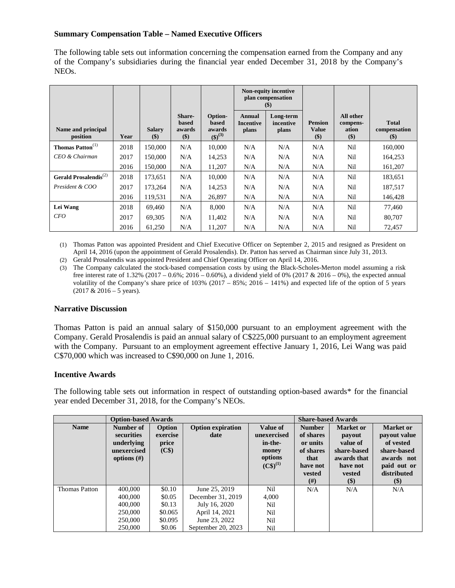# **Summary Compensation Table – Named Executive Officers**

The following table sets out information concerning the compensation earned from the Company and any of the Company's subsidiaries during the financial year ended December 31, 2018 by the Company's NEOs.

|                                   |      |                          |                                           |                                                     |                                            | <b>Non-equity incentive</b><br>plan compensation<br>\$) |                                         |                                       |                                       |
|-----------------------------------|------|--------------------------|-------------------------------------------|-----------------------------------------------------|--------------------------------------------|---------------------------------------------------------|-----------------------------------------|---------------------------------------|---------------------------------------|
| Name and principal<br>position    | Year | <b>Salary</b><br>$($ \$) | <b>Share-</b><br>based<br>awards<br>$($)$ | Option-<br><b>based</b><br>awards<br>$({\$})^{(3)}$ | <b>Annual</b><br><b>Incentive</b><br>plans | Long-term<br>incentive<br>plans                         | <b>Pension</b><br><b>Value</b><br>$($)$ | All other<br>compens-<br>ation<br>\$) | <b>Total</b><br>compensation<br>$($)$ |
| Thomas Patton <sup>(1)</sup>      | 2018 | 150,000                  | N/A                                       | 10,000                                              | N/A                                        | N/A                                                     | N/A                                     | Nil                                   | 160,000                               |
| CEO & Chairman                    | 2017 | 150,000                  | N/A                                       | 14,253                                              | N/A                                        | N/A                                                     | N/A                                     | Nil                                   | 164,253                               |
|                                   | 2016 | 150.000                  | N/A                                       | 11,207                                              | N/A                                        | N/A                                                     | N/A                                     | Nil                                   | 161,207                               |
| Gerald Prosalendis <sup>(2)</sup> | 2018 | 173,651                  | N/A                                       | 10,000                                              | N/A                                        | N/A                                                     | N/A                                     | <b>Nil</b>                            | 183,651                               |
| President & COO                   | 2017 | 173,264                  | N/A                                       | 14,253                                              | N/A                                        | N/A                                                     | N/A                                     | Nil                                   | 187,517                               |
|                                   | 2016 | 119,531                  | N/A                                       | 26,897                                              | N/A                                        | N/A                                                     | N/A                                     | Nil                                   | 146,428                               |
| Lei Wang                          | 2018 | 69,460                   | N/A                                       | 8,000                                               | N/A                                        | N/A                                                     | N/A                                     | <b>Nil</b>                            | 77,460                                |
| CFO                               | 2017 | 69,305                   | N/A                                       | 11,402                                              | N/A                                        | N/A                                                     | N/A                                     | Nil                                   | 80,707                                |
|                                   | 2016 | 61,250                   | N/A                                       | 11,207                                              | N/A                                        | N/A                                                     | N/A                                     | Nil                                   | 72,457                                |

(1) Thomas Patton was appointed President and Chief Executive Officer on September 2, 2015 and resigned as President on April 14, 2016 (upon the appointment of Gerald Prosalendis). Dr. Patton has served as Chairman since July 31, 2013.

(2) Gerald Prosalendis was appointed President and Chief Operating Officer on April 14, 2016.

(3) The Company calculated the stock-based compensation costs by using the Black-Scholes-Merton model assuming a risk free interest rate of 1.32% (2017 – 0.6%; 2016 – 0.60%), a dividend yield of 0% (2017 & 2016 – 0%), the expected annual volatility of the Company's share price of  $103\%$  (2017 –  $85\%$ ; 2016 – 141%) and expected life of the option of 5 years  $(2017 & 2016 - 5$  years).

### **Narrative Discussion**

Thomas Patton is paid an annual salary of \$150,000 pursuant to an employment agreement with the Company. Gerald Prosalendis is paid an annual salary of C\$225,000 pursuant to an employment agreement with the Company. Pursuant to an employment agreement effective January 1, 2016, Lei Wang was paid C\$70,000 which was increased to C\$90,000 on June 1, 2016.

# **Incentive Awards**

The following table sets out information in respect of outstanding option-based awards\* for the financial year ended December 31, 2018, for the Company's NEOs.

|                      | <b>Option-based Awards</b>                                             |                                                    |                                  |                                                                         | <b>Share-based Awards</b>                                                               |                                                                                                   |                                                                                                                    |
|----------------------|------------------------------------------------------------------------|----------------------------------------------------|----------------------------------|-------------------------------------------------------------------------|-----------------------------------------------------------------------------------------|---------------------------------------------------------------------------------------------------|--------------------------------------------------------------------------------------------------------------------|
| <b>Name</b>          | Number of<br>securities<br>underlying<br>unexercised<br>options $(\#)$ | Option<br>exercise<br>price<br>$(C$ (C\spectrical) | <b>Option expiration</b><br>date | Value of<br>unexercised<br>in-the-<br>money<br>options<br>$(C\$)^{(1)}$ | <b>Number</b><br>of shares<br>or units<br>of shares<br>that<br>have not<br>vested<br>#) | <b>Market or</b><br>payout<br>value of<br>share-based<br>awards that<br>have not<br>vested<br>\$) | <b>Market or</b><br>payout value<br>of vested<br>share-based<br>awards not<br>paid out or<br>distributed<br>$(\$)$ |
| <b>Thomas Patton</b> | 400,000                                                                | \$0.10                                             | June 25, 2019                    | Nil                                                                     | N/A                                                                                     | N/A                                                                                               | N/A                                                                                                                |
|                      | 400,000                                                                | \$0.05                                             | December 31, 2019                | 4,000                                                                   |                                                                                         |                                                                                                   |                                                                                                                    |
|                      | 400,000                                                                | \$0.13                                             | July 16, 2020                    | Nil                                                                     |                                                                                         |                                                                                                   |                                                                                                                    |
|                      | 250,000                                                                | \$0.065                                            | April 14, 2021                   | Nil                                                                     |                                                                                         |                                                                                                   |                                                                                                                    |
|                      | 250,000                                                                | \$0.095                                            | June 23, 2022                    | Nil                                                                     |                                                                                         |                                                                                                   |                                                                                                                    |
|                      | 250,000                                                                | \$0.06                                             | September 20, 2023               | Nil                                                                     |                                                                                         |                                                                                                   |                                                                                                                    |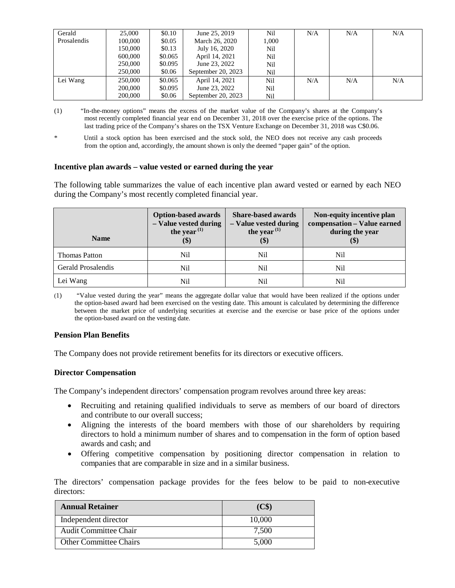| Gerald      | 25,000  | \$0.10  | June 25, 2019      | Nil   | N/A | N/A | N/A |
|-------------|---------|---------|--------------------|-------|-----|-----|-----|
| Prosalendis | 100,000 | \$0.05  | March 26, 2020     | 1,000 |     |     |     |
|             | 150,000 | \$0.13  | July 16, 2020      | Nil   |     |     |     |
|             | 600,000 | \$0.065 | April 14, 2021     | Nil   |     |     |     |
|             | 250,000 | \$0.095 | June 23, 2022      | Nil   |     |     |     |
|             | 250,000 | \$0.06  | September 20, 2023 | Nil   |     |     |     |
| Lei Wang    | 250,000 | \$0.065 | April 14, 2021     | Nil   | N/A | N/A | N/A |
|             | 200,000 | \$0.095 | June 23, 2022      | Nil   |     |     |     |
|             | 200,000 | \$0.06  | September 20, 2023 | Nil   |     |     |     |

(1) "In-the-money options" means the excess of the market value of the Company's shares at the Company's most recently completed financial year end on December 31, 2018 over the exercise price of the options. The last trading price of the Company's shares on the TSX Venture Exchange on December 31, 2018 was C\$0.06.

Until a stock option has been exercised and the stock sold, the NEO does not receive any cash proceeds from the option and, accordingly, the amount shown is only the deemed "paper gain" of the option.

#### **Incentive plan awards – value vested or earned during the year**

The following table summarizes the value of each incentive plan award vested or earned by each NEO during the Company's most recently completed financial year.

| <b>Name</b>               | <b>Option-based awards</b><br>- Value vested during<br>the year $(1)$<br>$(\Phi)$ | <b>Share-based awards</b><br>- Value vested during<br>the year $(1)$<br>$(\Phi)$ | Non-equity incentive plan<br>compensation - Value earned<br>during the year<br>(\$) |  |
|---------------------------|-----------------------------------------------------------------------------------|----------------------------------------------------------------------------------|-------------------------------------------------------------------------------------|--|
| <b>Thomas Patton</b>      | Ni1                                                                               | Nil                                                                              | Nil                                                                                 |  |
| <b>Gerald Prosalendis</b> | Nil                                                                               | Nil                                                                              | Nil                                                                                 |  |
| Lei Wang                  | Nil                                                                               | Nil                                                                              | Nil                                                                                 |  |

(1) "Value vested during the year" means the aggregate dollar value that would have been realized if the options under the option-based award had been exercised on the vesting date. This amount is calculated by determining the difference between the market price of underlying securities at exercise and the exercise or base price of the options under the option-based award on the vesting date.

#### **Pension Plan Benefits**

The Company does not provide retirement benefits for its directors or executive officers.

#### **Director Compensation**

The Company's independent directors' compensation program revolves around three key areas:

- Recruiting and retaining qualified individuals to serve as members of our board of directors and contribute to our overall success;
- Aligning the interests of the board members with those of our shareholders by requiring directors to hold a minimum number of shares and to compensation in the form of option based awards and cash; and
- Offering competitive compensation by positioning director compensation in relation to companies that are comparable in size and in a similar business.

The directors' compensation package provides for the fees below to be paid to non-executive directors:

| <b>Annual Retainer</b>        | (C\$)  |
|-------------------------------|--------|
| Independent director          | 10.000 |
| <b>Audit Committee Chair</b>  | 7,500  |
| <b>Other Committee Chairs</b> | 5,000  |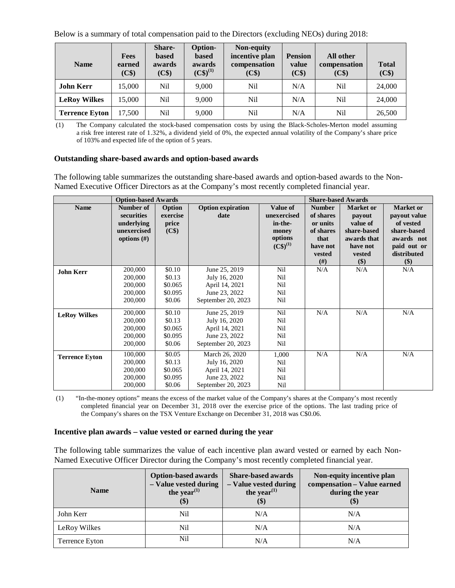Below is a summary of total compensation paid to the Directors (excluding NEOs) during 2018:

| <b>Name</b>           | <b>Fees</b><br>earned<br>(C\$) | <b>Share-</b><br>based<br>awards<br>(C <sup>§</sup> ) | Option-<br><b>based</b><br>awards<br>$(C\$)^{(1)}$ | Non-equity<br>incentive plan<br>compensation<br>(C\$) | <b>Pension</b><br>value<br>(C\$) | All other<br>compensation<br>(C\$) | <b>Total</b><br>(C <sup>§</sup> ) |
|-----------------------|--------------------------------|-------------------------------------------------------|----------------------------------------------------|-------------------------------------------------------|----------------------------------|------------------------------------|-----------------------------------|
| <b>John Kerr</b>      | 15,000                         | Nil                                                   | 9.000                                              | Nil                                                   | N/A                              | Ni1                                | 24,000                            |
| <b>LeRoy Wilkes</b>   | 15,000                         | Nil                                                   | 9,000                                              | Nil                                                   | N/A                              | Nil                                | 24,000                            |
| <b>Terrence Eyton</b> | 17,500                         | Nil                                                   | 9,000                                              | Nil                                                   | N/A                              | Nil                                | 26,500                            |

(1) The Company calculated the stock-based compensation costs by using the Black-Scholes-Merton model assuming a risk free interest rate of 1.32%, a dividend yield of 0%, the expected annual volatility of the Company's share price of 103% and expected life of the option of 5 years.

### **Outstanding share-based awards and option-based awards**

The following table summarizes the outstanding share-based awards and option-based awards to the Non-Named Executive Officer Directors as at the Company's most recently completed financial year.

|                       | <b>Option-based Awards</b> |                   |                          |               | <b>Share-based Awards</b> |                  |                  |
|-----------------------|----------------------------|-------------------|--------------------------|---------------|---------------------------|------------------|------------------|
| <b>Name</b>           | Number of                  | Option            | <b>Option expiration</b> | Value of      | <b>Number</b>             | <b>Market or</b> | <b>Market or</b> |
|                       | securities                 | exercise          | date                     | unexercised   | of shares                 | payout           | payout value     |
|                       | underlying                 | price             |                          | in-the-       | or units                  | value of         | of vested        |
|                       | unexercised                | (C <sup>§</sup> ) |                          | money         | of shares                 | share-based      | share-based      |
|                       | options $(\#)$             |                   |                          | options       | that                      | awards that      | awards not       |
|                       |                            |                   |                          | $(C\$)^{(1)}$ | have not                  | have not         | paid out or      |
|                       |                            |                   |                          |               | vested                    | vested           | distributed      |
|                       |                            |                   |                          |               | (# )                      | \$)              | \$)              |
| <b>John Kerr</b>      | 200,000                    | \$0.10            | June 25, 2019            | Nil           | N/A                       | N/A              | N/A              |
|                       | 200,000                    | \$0.13            | July 16, 2020            | Nil           |                           |                  |                  |
|                       | 200,000                    | \$0.065           | April 14, 2021           | Nil           |                           |                  |                  |
|                       | 200,000                    | \$0.095           | June 23, 2022            | Nil           |                           |                  |                  |
|                       | 200,000                    | \$0.06            | September 20, 2023       | Nil           |                           |                  |                  |
|                       |                            |                   |                          |               | N/A                       | N/A              | N/A              |
| <b>LeRoy Wilkes</b>   | 200,000                    | \$0.10            | June 25, 2019            | Nil           |                           |                  |                  |
|                       | 200,000                    | \$0.13            | July 16, 2020            | Nil           |                           |                  |                  |
|                       | 200,000                    | \$0.065           | April 14, 2021           | Nil           |                           |                  |                  |
|                       | 200,000                    | \$0.095           | June 23, 2022            | Nil           |                           |                  |                  |
|                       | 200,000                    | \$0.06            | September 20, 2023       | Nil           |                           |                  |                  |
| <b>Terrence Eyton</b> | 100,000                    | \$0.05            | March 26, 2020           | 1,000         | N/A                       | N/A              | N/A              |
|                       | 200,000                    | \$0.13            | July 16, 2020            | Nil           |                           |                  |                  |
|                       | 200,000                    | \$0.065           | April 14, 2021           | Nil           |                           |                  |                  |
|                       | 200,000                    | \$0.095           | June 23, 2022            | Nil           |                           |                  |                  |
|                       | 200,000                    | \$0.06            | September 20, 2023       | Nil           |                           |                  |                  |

(1) "In-the-money options" means the excess of the market value of the Company's shares at the Company's most recently completed financial year on December 31, 2018 over the exercise price of the options. The last trading price of the Company's shares on the TSX Venture Exchange on December 31, 2018 was C\$0.06.

#### **Incentive plan awards – value vested or earned during the year**

The following table summarizes the value of each incentive plan award vested or earned by each Non-Named Executive Officer Director during the Company's most recently completed financial year.

| <b>Name</b>    | <b>Option-based awards</b><br>- Value vested during<br>the year <sup><math>(1)</math></sup><br>$\left( \mathcal{S} \right)$ | <b>Share-based awards</b><br>- Value vested during<br>the year <sup><math>(1)</math></sup><br>$\left( \text{\$}\right)$ | Non-equity incentive plan<br>compensation - Value earned<br>during the year<br>$\left( \text{\$}\right)$ |
|----------------|-----------------------------------------------------------------------------------------------------------------------------|-------------------------------------------------------------------------------------------------------------------------|----------------------------------------------------------------------------------------------------------|
| John Kerr      | Nil                                                                                                                         | N/A                                                                                                                     | N/A                                                                                                      |
| LeRoy Wilkes   | Nil                                                                                                                         | N/A                                                                                                                     | N/A                                                                                                      |
| Terrence Eyton | Nil                                                                                                                         | N/A                                                                                                                     | N/A                                                                                                      |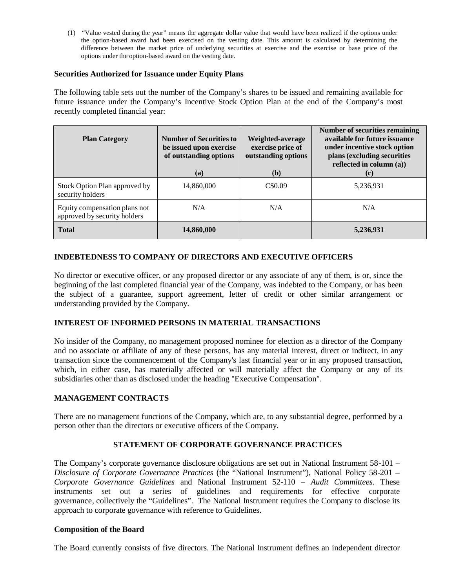(1) "Value vested during the year" means the aggregate dollar value that would have been realized if the options under the option-based award had been exercised on the vesting date. This amount is calculated by determining the difference between the market price of underlying securities at exercise and the exercise or base price of the options under the option-based award on the vesting date.

### **Securities Authorized for Issuance under Equity Plans**

The following table sets out the number of the Company's shares to be issued and remaining available for future issuance under the Company's Incentive Stock Option Plan at the end of the Company's most recently completed financial year:

| <b>Plan Category</b>                                          | <b>Number of Securities to</b><br>be issued upon exercise<br>of outstanding options<br>(a) | Weighted-average<br>exercise price of<br>outstanding options<br>( <b>b</b> ) | <b>Number of securities remaining</b><br>available for future issuance<br>under incentive stock option<br>plans (excluding securities<br>reflected in column (a))<br>(c) |
|---------------------------------------------------------------|--------------------------------------------------------------------------------------------|------------------------------------------------------------------------------|--------------------------------------------------------------------------------------------------------------------------------------------------------------------------|
| Stock Option Plan approved by<br>security holders             | 14,860,000                                                                                 | C\$0.09                                                                      | 5,236,931                                                                                                                                                                |
| Equity compensation plans not<br>approved by security holders | N/A                                                                                        | N/A                                                                          | N/A                                                                                                                                                                      |
| <b>Total</b>                                                  | 14,860,000                                                                                 |                                                                              | 5,236,931                                                                                                                                                                |

# **INDEBTEDNESS TO COMPANY OF DIRECTORS AND EXECUTIVE OFFICERS**

No director or executive officer, or any proposed director or any associate of any of them, is or, since the beginning of the last completed financial year of the Company, was indebted to the Company, or has been the subject of a guarantee, support agreement, letter of credit or other similar arrangement or understanding provided by the Company.

# **INTEREST OF INFORMED PERSONS IN MATERIAL TRANSACTIONS**

No insider of the Company, no management proposed nominee for election as a director of the Company and no associate or affiliate of any of these persons, has any material interest, direct or indirect, in any transaction since the commencement of the Company's last financial year or in any proposed transaction, which, in either case, has materially affected or will materially affect the Company or any of its subsidiaries other than as disclosed under the heading "Executive Compensation".

# **MANAGEMENT CONTRACTS**

There are no management functions of the Company, which are, to any substantial degree, performed by a person other than the directors or executive officers of the Company.

# **STATEMENT OF CORPORATE GOVERNANCE PRACTICES**

The Company's corporate governance disclosure obligations are set out in National Instrument 58-101 – *Disclosure of Corporate Governance Practices* (the "National Instrument"), National Policy 58-201 – *Corporate Governance Guidelines* and National Instrument 52-110 – *Audit Committees.* These instruments set out a series of guidelines and requirements for effective corporate governance, collectively the "Guidelines". The National Instrument requires the Company to disclose its approach to corporate governance with reference to Guidelines.

#### **Composition of the Board**

The Board currently consists of five directors. The National Instrument defines an independent director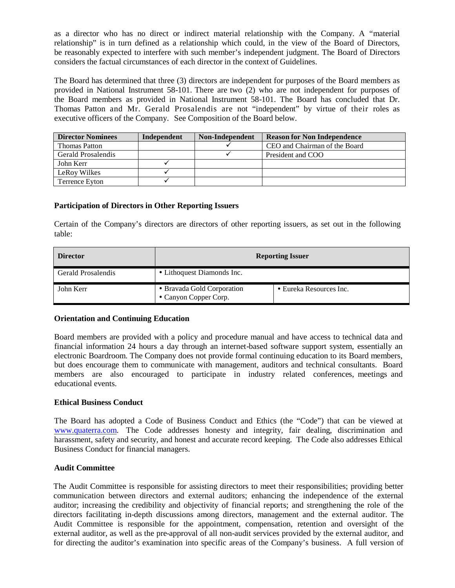as a director who has no direct or indirect material relationship with the Company. A "material relationship" is in turn defined as a relationship which could, in the view of the Board of Directors, be reasonably expected to interfere with such member's independent judgment. The Board of Directors considers the factual circumstances of each director in the context of Guidelines.

The Board has determined that three (3) directors are independent for purposes of the Board members as provided in National Instrument 58-101. There are two (2) who are not independent for purposes of the Board members as provided in National Instrument 58-101. The Board has concluded that Dr. Thomas Patton and Mr. Gerald Prosalendis are not "independent" by virtue of their roles as executive officers of the Company. See Composition of the Board below.

| <b>Director Nominees</b> | Independent | Non-Independent | <b>Reason for Non Independence</b> |
|--------------------------|-------------|-----------------|------------------------------------|
| <b>Thomas Patton</b>     |             |                 | CEO and Chairman of the Board      |
| Gerald Prosalendis       |             |                 | President and COO                  |
| John Kerr                |             |                 |                                    |
| LeRoy Wilkes             |             |                 |                                    |
| Terrence Eyton           |             |                 |                                    |

# **Participation of Directors in Other Reporting Issuers**

Certain of the Company's directors are directors of other reporting issuers, as set out in the following table:

| <b>Director</b>    | <b>Reporting Issuer</b>                             |                         |  |  |
|--------------------|-----------------------------------------------------|-------------------------|--|--|
| Gerald Prosalendis | • Lithoquest Diamonds Inc.                          |                         |  |  |
| John Kerr          | • Bravada Gold Corporation<br>• Canyon Copper Corp. | • Eureka Resources Inc. |  |  |

# **Orientation and Continuing Education**

Board members are provided with a policy and procedure manual and have access to technical data and financial information 24 hours a day through an internet-based software support system, essentially an electronic Boardroom. The Company does not provide formal continuing education to its Board members, but does encourage them to communicate with management, auditors and technical consultants. Board members are also encouraged to participate in industry related conferences, meetings and educational events.

# **Ethical Business Conduct**

The Board has adopted a Code of Business Conduct and Ethics (the "Code") that can be viewed at [www.quaterra.com.](http://www.quaterra.com/) The Code addresses honesty and integrity, fair dealing, discrimination and harassment, safety and security, and honest and accurate record keeping. The Code also addresses Ethical Business Conduct for financial managers.

# **Audit Committee**

The Audit Committee is responsible for assisting directors to meet their responsibilities; providing better communication between directors and external auditors; enhancing the independence of the external auditor; increasing the credibility and objectivity of financial reports; and strengthening the role of the directors facilitating in-depth discussions among directors, management and the external auditor. The Audit Committee is responsible for the appointment, compensation, retention and oversight of the external auditor, as well as the pre-approval of all non-audit services provided by the external auditor, and for directing the auditor's examination into specific areas of the Company's business. A full version of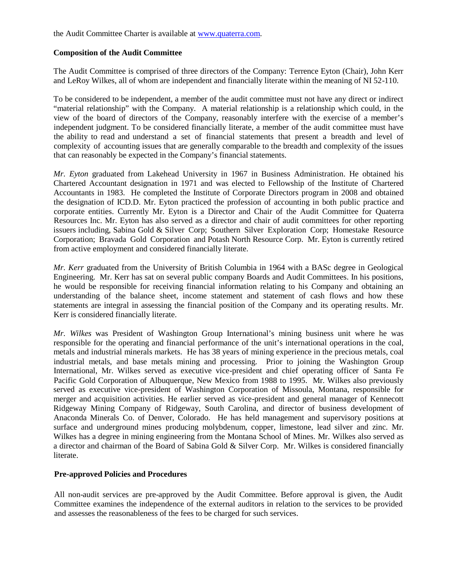the Audit Committee Charter is available at [www.quaterra.com.](http://www.quaterra.com/)

#### **Composition of the Audit Committee**

The Audit Committee is comprised of three directors of the Company: Terrence Eyton (Chair), John Kerr and LeRoy Wilkes, all of whom are independent and financially literate within the meaning of NI 52-110.

To be considered to be independent, a member of the audit committee must not have any direct or indirect "material relationship" with the Company. A material relationship is a relationship which could, in the view of the board of directors of the Company, reasonably interfere with the exercise of a member's independent judgment. To be considered financially literate, a member of the audit committee must have the ability to read and understand a set of financial statements that present a breadth and level of complexity of accounting issues that are generally comparable to the breadth and complexity of the issues that can reasonably be expected in the Company's financial statements.

*Mr. Eyton* graduated from Lakehead University in 1967 in Business Administration. He obtained his Chartered Accountant designation in 1971 and was elected to Fellowship of the Institute of Chartered Accountants in 1983. He completed the Institute of Corporate Directors program in 2008 and obtained the designation of ICD.D. Mr. Eyton practiced the profession of accounting in both public practice and corporate entities. Currently Mr. Eyton is a Director and Chair of the Audit Committee for Quaterra Resources Inc. Mr. Eyton has also served as a director and chair of audit committees for other reporting issuers including, Sabina Gold & Silver Corp; Southern Silver Exploration Corp; Homestake Resource Corporation; Bravada Gold Corporation and Potash North Resource Corp. Mr. Eyton is currently retired from active employment and considered financially literate.

*Mr. Kerr* graduated from the University of British Columbia in 1964 with a BASc degree in Geological Engineering. Mr. Kerr has sat on several public company Boards and Audit Committees. In his positions, he would be responsible for receiving financial information relating to his Company and obtaining an understanding of the balance sheet, income statement and statement of cash flows and how these statements are integral in assessing the financial position of the Company and its operating results. Mr. Kerr is considered financially literate.

*Mr. Wilkes* was President of Washington Group International's mining business unit where he was responsible for the operating and financial performance of the unit's international operations in the coal, metals and industrial minerals markets. He has 38 years of mining experience in the precious metals, coal industrial metals, and base metals mining and processing. Prior to joining the Washington Group International, Mr. Wilkes served as executive vice-president and chief operating officer of Santa Fe Pacific Gold Corporation of Albuquerque, New Mexico from 1988 to 1995. Mr. Wilkes also previously served as executive vice-president of Washington Corporation of Missoula, Montana, responsible for merger and acquisition activities. He earlier served as vice-president and general manager of Kennecott Ridgeway Mining Company of Ridgeway, South Carolina, and director of business development of Anaconda Minerals Co. of Denver, Colorado. He has held management and supervisory positions at surface and underground mines producing molybdenum, copper, limestone, lead silver and zinc. Mr. Wilkes has a degree in mining engineering from the Montana School of Mines. Mr. Wilkes also served as a director and chairman of the Board of Sabina Gold & Silver Corp. Mr. Wilkes is considered financially literate.

# **Pre-approved Policies and Procedures**

All non-audit services are pre-approved by the Audit Committee. Before approval is given, the Audit Committee examines the independence of the external auditors in relation to the services to be provided and assesses the reasonableness of the fees to be charged for such services.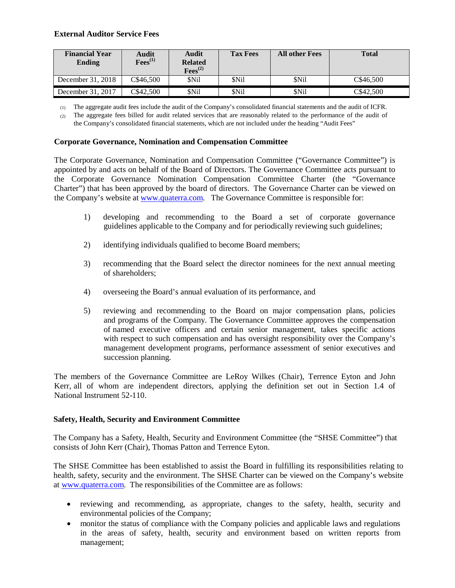# **External Auditor Service Fees**

| <b>Financial Year</b><br>Ending | Audit<br>$\mathrm{Fees}^{(1)}$ | Audit<br><b>Related</b><br>$\mathrm{Fees}^{(2)}$ | <b>Tax Fees</b> | <b>All other Fees</b> | <b>Total</b> |
|---------------------------------|--------------------------------|--------------------------------------------------|-----------------|-----------------------|--------------|
| December 31, 2018               | C\$46.500                      | <b>SNil</b>                                      | \$Nil           | \$Nil                 | C\$46.500    |
| December 31, 2017               | C\$42.500                      | \$Nil                                            | \$Nil           | \$Nil                 | C\$42.500    |

(1) The aggregate audit fees include the audit of the Company's consolidated financial statements and the audit of ICFR.

(2) The aggregate fees billed for audit related services that are reasonably related to the performance of the audit of the Company's consolidated financial statements, which are not included under the heading "Audit Fees"

### **Corporate Governance, Nomination and Compensation Committee**

The Corporate Governance, Nomination and Compensation Committee ("Governance Committee") is appointed by and acts on behalf of the Board of Directors. The Governance Committee acts pursuant to the Corporate Governance Nomination Compensation Committee Charter (the "Governance Charter") that has been approved by the board of directors. The Governance Charter can be viewed on the Company's website at [www.quaterra.com. T](http://www.quaterra.com/)he Governance Committee is responsible for:

- 1) developing and recommending to the Board a set of corporate governance guidelines applicable to the Company and for periodically reviewing such guidelines;
- 2) identifying individuals qualified to become Board members;
- 3) recommending that the Board select the director nominees for the next annual meeting of shareholders;
- 4) overseeing the Board's annual evaluation of its performance, and
- 5) reviewing and recommending to the Board on major compensation plans, policies and programs of the Company. The Governance Committee approves the compensation of named executive officers and certain senior management, takes specific actions with respect to such compensation and has oversight responsibility over the Company's management development programs, performance assessment of senior executives and succession planning.

The members of the Governance Committee are LeRoy Wilkes (Chair), Terrence Eyton and John Kerr, all of whom are independent directors, applying the definition set out in Section 1.4 of National Instrument 52-110.

# **Safety, Health, Security and Environment Committee**

The Company has a Safety, Health, Security and Environment Committee (the "SHSE Committee") that consists of John Kerr (Chair), Thomas Patton and Terrence Eyton.

The SHSE Committee has been established to assist the Board in fulfilling its responsibilities relating to health, safety, security and the environment. The SHSE Charter can be viewed on the Company's website at [www.quaterra.com.](http://www.quaterra.com/) The responsibilities of the Committee are as follows:

- reviewing and recommending, as appropriate, changes to the safety, health, security and environmental policies of the Company;
- monitor the status of compliance with the Company policies and applicable laws and regulations in the areas of safety, health, security and environment based on written reports from management;